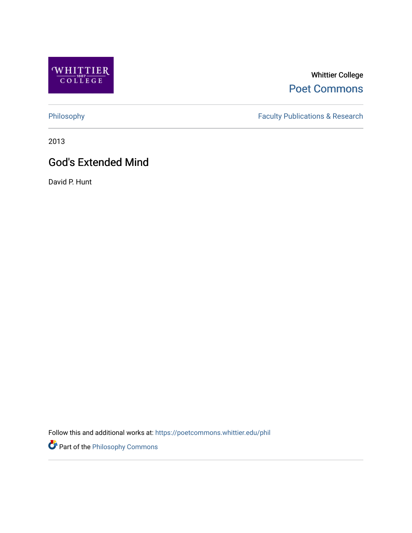

## Whittier College [Poet Commons](https://poetcommons.whittier.edu/)

[Philosophy](https://poetcommons.whittier.edu/phil) Faculty Publications & Research

2013

# God's Extended Mind

David P. Hunt

Follow this and additional works at: [https://poetcommons.whittier.edu/phil](https://poetcommons.whittier.edu/phil?utm_source=poetcommons.whittier.edu%2Fphil%2F6&utm_medium=PDF&utm_campaign=PDFCoverPages)

Part of the [Philosophy Commons](http://network.bepress.com/hgg/discipline/525?utm_source=poetcommons.whittier.edu%2Fphil%2F6&utm_medium=PDF&utm_campaign=PDFCoverPages)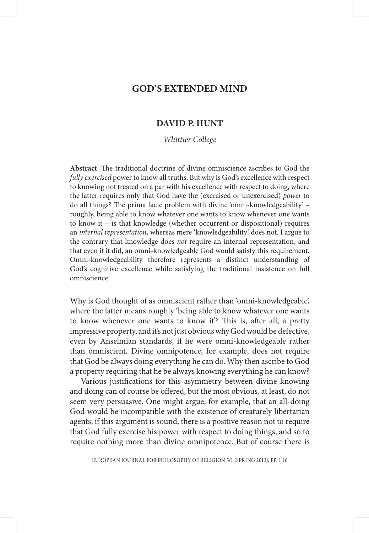## **GOD'S EXTENDED MIND**

### **DAVID P. HUNT**

#### *Whittier College*

**Abstract**. The traditional doctrine of divine omniscience ascribes to God the *fully exercised* power to know all truths. But why is God's excellence with respect to knowing not treated on a par with his excellence with respect to doing, where the latter requires only that God have the (exercised or unexercised) *power* to do all things? The prima facie problem with divine 'omni-knowledgeability' – roughly, being able to know whatever one wants to know whenever one wants to know it – is that knowledge (whether occurrent or dispositional) requires an *internal representation*, whereas mere 'knowledgeability' does not. I argue to the contrary that knowledge does *not* require an internal representation, and that even if it did, an omni-knowledgeable God would satisfy this requirement. Omni-knowledgeability therefore represents a distinct understanding of God's cognitive excellence while satisfying the traditional insistence on full omniscience.

Why is God thought of as omniscient rather than 'omni-knowledgeable', where the latter means roughly 'being able to know whatever one wants to know whenever one wants to know it'? This is, after all, a pretty impressive property, and it's not just obvious why God would be defective, even by Anselmian standards, if he were omni-knowledgeable rather than omniscient. Divine omnipotence, for example, does not require that God be always doing everything he can do. Why then ascribe to God a property requiring that he be always knowing everything he can know?

Various justifications for this asymmetry between divine knowing and doing can of course be offered, but the most obvious, at least, do not seem very persuasive. One might argue, for example, that an all-doing God would be incompatible with the existence of creaturely libertarian agents; if this argument is sound, there is a positive reason not to require that God fully exercise his power with respect to doing things, and so to require nothing more than divine omnipotence. But of course there is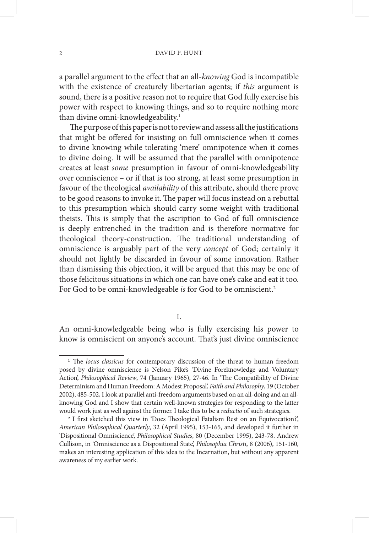a parallel argument to the effect that an all-*knowing* God is incompatible with the existence of creaturely libertarian agents; if *this* argument is sound, there is a positive reason not to require that God fully exercise his power with respect to knowing things, and so to require nothing more than divine omni-knowledgeability.<sup>1</sup>

The purpose of this paper is not to review and assess all the justifications that might be offered for insisting on full omniscience when it comes to divine knowing while tolerating 'mere' omnipotence when it comes to divine doing. It will be assumed that the parallel with omnipotence creates at least *some* presumption in favour of omni-knowledgeability over omniscience – or if that is too strong, at least some presumption in favour of the theological *availability* of this attribute, should there prove to be good reasons to invoke it. The paper will focus instead on a rebuttal to this presumption which should carry some weight with traditional theists. This is simply that the ascription to God of full omniscience is deeply entrenched in the tradition and is therefore normative for theological theory-construction. The traditional understanding of omniscience is arguably part of the very *concept* of God; certainly it should not lightly be discarded in favour of some innovation. Rather than dismissing this objection, it will be argued that this may be one of those felicitous situations in which one can have one's cake and eat it too. For God to be omni-knowledgeable *is* for God to be omniscient.<sup>2</sup>

I.

An omni-knowledgeable being who is fully exercising his power to know is omniscient on anyone's account. That's just divine omniscience

<sup>&</sup>lt;sup>1</sup> The *locus classicus* for contemporary discussion of the threat to human freedom posed by divine omniscience is Nelson Pike's 'Divine Foreknowledge and Voluntary Action', *Philosophical Review*, 74 (January 1965), 27-46. In 'The Compatibility of Divine Determinism and Human Freedom: A Modest Proposal', *Faith and Philosophy*, 19 (October 2002), 485-502, I look at parallel anti-freedom arguments based on an all-doing and an allknowing God and I show that certain well-known strategies for responding to the latter would work just as well against the former. I take this to be a *reductio* of such strategies.<br><sup>2</sup> I first sketched this view in 'Does Theological Fatalism Rest on an Equivocation?',

*American Philosophical Quarterly*, 32 (April 1995), 153-165, and developed it further in 'Dispositional Omniscience', *Philosophical Studies*, 80 (December 1995), 243-78. Andrew Cullison, in 'Omniscience as a Dispositional State', *Philosophia Christi*, 8 (2006), 151-160, makes an interesting application of this idea to the Incarnation, but without any apparent awareness of my earlier work.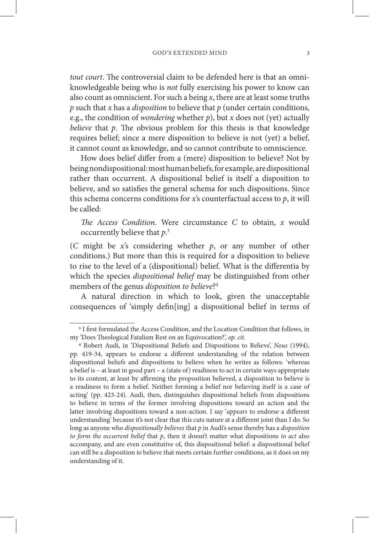*tout court*. The controversial claim to be defended here is that an omniknowledgeable being who is *not* fully exercising his power to know can also count as omniscient. For such a being *x*, there are at least some truths *p* such that *x* has a *disposition* to believe that *p* (under certain conditions, e.g., the condition of *wondering* whether *p*), but *x* does not (yet) actually *believe* that *p*. The obvious problem for this thesis is that knowledge requires belief; since a mere disposition to believe is not (yet) a belief, it cannot count as knowledge, and so cannot contribute to omniscience.

How does belief differ from a (mere) disposition to believe? Not by being nondispositional: most human beliefs, for example, are dispositional rather than occurrent. A dispositional belief is itself a disposition to believe, and so satisfies the general schema for such dispositions. Since this schema concerns conditions for *x*'s counterfactual access to *p*, it will be called:

*The Access Condition*. Were circumstance *C* to obtain, *x* would occurrently believe that *p*. 3

(*C* might be *x*'s considering whether *p*, or any number of other conditions.) But more than this is required for a disposition to believe to rise to the level of a (dispositional) belief. What is the differentia by which the species *dispositional belief* may be distinguished from other members of the genus *disposition to believe*?4

A natural direction in which to look, given the unacceptable consequences of 'simply defin[ing] a dispositional belief in terms of

<sup>3</sup> I first formulated the Access Condition, and the Location Condition that follows, in my 'Does Theological Fatalism Rest on an Equivocation?', *op. cit.* <sup>4</sup> Robert Audi, in 'Dispositional Beliefs and Dispositions to Believe', *Nous* (1994),

pp. 419-34, appears to endorse a different understanding of the relation between dispositional beliefs and dispositions to believe when he writes as follows: 'whereas a belief is – at least in good part – a (state of) readiness to act in certain ways appropriate to its content, at least by affirming the proposition believed, a disposition to believe is a readiness to form a belief. Neither forming a belief nor believing itself is a case of acting' (pp. 423-24). Audi, then, distinguishes dispositional beliefs from dispositions to believe in terms of the former involving dispositions toward an action and the latter involving dispositions toward a non-action. I say '*appears* to endorse a different understanding' because it's not clear that this cuts nature at a different joint than I do. So long as anyone who *dispositionally believes* that *p* in Audi's sense thereby has a *disposition to form the occurrent belief* that *p*, then it doesn't matter what dispositions *to act* also accompany, and are even constitutive of, this dispositional belief: a dispositional belief can still be a disposition *to* believe that meets certain further conditions, as it does on my understanding of it.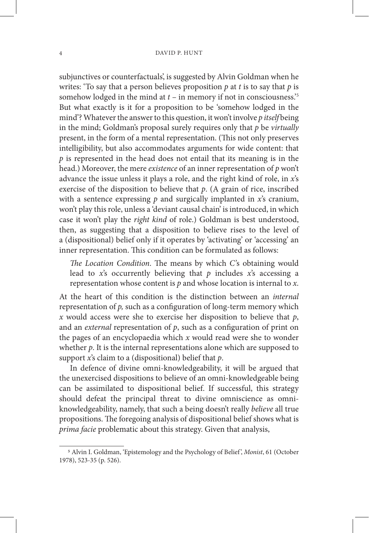subjunctives or counterfactuals', is suggested by Alvin Goldman when he writes: 'To say that a person believes proposition  $p$  at  $t$  is to say that  $p$  is somehow lodged in the mind at *t* – in memory if not in consciousness.'5 But what exactly is it for a proposition to be 'somehow lodged in the mind'? Whatever the answer to this question, it won't involve *p itself* being in the mind; Goldman's proposal surely requires only that *p* be *virtually* present, in the form of a mental representation. (This not only preserves intelligibility, but also accommodates arguments for wide content: that *p* is represented in the head does not entail that its meaning is in the head.) Moreover, the mere *existence* of an inner representation of *p* won't advance the issue unless it plays a role, and the right kind of role, in *x*'s exercise of the disposition to believe that *p*. (A grain of rice, inscribed with a sentence expressing *p* and surgically implanted in *x*'s cranium, won't play this role, unless a 'deviant causal chain' is introduced, in which case it won't play the *right kind* of role.) Goldman is best understood, then, as suggesting that a disposition to believe rises to the level of a (dispositional) belief only if it operates by 'activating' or 'accessing' an inner representation. This condition can be formulated as follows:

*The Location Condition*. The means by which *C'*s obtaining would lead to *x*'s occurrently believing that *p* includes *x*'s accessing a representation whose content is *p* and whose location is internal to *x*.

At the heart of this condition is the distinction between an *internal* representation of *p,* such as a configuration of long-term memory which *x* would access were she to exercise her disposition to believe that *p*, and an *external* representation of *p*, such as a configuration of print on the pages of an encyclopaedia which *x* would read were she to wonder whether *p*. It is the internal representations alone which are supposed to support *x*'s claim to a (dispositional) belief that *p*.

In defence of divine omni-knowledgeability, it will be argued that the unexercised dispositions to believe of an omni-knowledgeable being can be assimilated to dispositional belief. If successful, this strategy should defeat the principal threat to divine omniscience as omniknowledgeability, namely, that such a being doesn't really *believe* all true propositions. The foregoing analysis of dispositional belief shows what is *prima facie* problematic about this strategy. Given that analysis,

<sup>5</sup> Alvin I. Goldman, 'Epistemology and the Psychology of Belief ', *Monist*, 61 (October 1978), 523-35 (p. 526).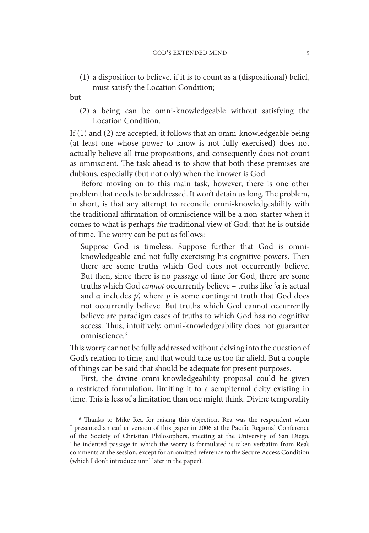(1) a disposition to believe, if it is to count as a (dispositional) belief, must satisfy the Location Condition;

but

(2) a being can be omni-knowledgeable without satisfying the Location Condition.

If (1) and (2) are accepted, it follows that an omni-knowledgeable being (at least one whose power to know is not fully exercised) does not actually believe all true propositions, and consequently does not count as omniscient. The task ahead is to show that both these premises are dubious, especially (but not only) when the knower is God.

Before moving on to this main task, however, there is one other problem that needs to be addressed. It won't detain us long. The problem, in short, is that any attempt to reconcile omni-knowledgeability with the traditional affirmation of omniscience will be a non-starter when it comes to what is perhaps *the* traditional view of God: that he is outside of time. The worry can be put as follows:

Suppose God is timeless. Suppose further that God is omniknowledgeable and not fully exercising his cognitive powers. Then there are some truths which God does not occurrently believe. But then, since there is no passage of time for God, there are some truths which God *cannot* occurrently believe – truths like 'α is actual and  $\alpha$  includes  $p'$ , where  $p$  is some contingent truth that God does not occurrently believe. But truths which God cannot occurrently believe are paradigm cases of truths to which God has no cognitive access. Thus, intuitively, omni-knowledgeability does not guarantee omniscience.<sup>6</sup>

This worry cannot be fully addressed without delving into the question of God's relation to time, and that would take us too far afield. But a couple of things can be said that should be adequate for present purposes.

First, the divine omni-knowledgeability proposal could be given a restricted formulation, limiting it to a sempiternal deity existing in time. This is less of a limitation than one might think. Divine temporality

<sup>6</sup> Thanks to Mike Rea for raising this objection. Rea was the respondent when I presented an earlier version of this paper in 2006 at the Pacific Regional Conference of the Society of Christian Philosophers, meeting at the University of San Diego. The indented passage in which the worry is formulated is taken verbatim from Rea's comments at the session, except for an omitted reference to the Secure Access Condition (which I don't introduce until later in the paper).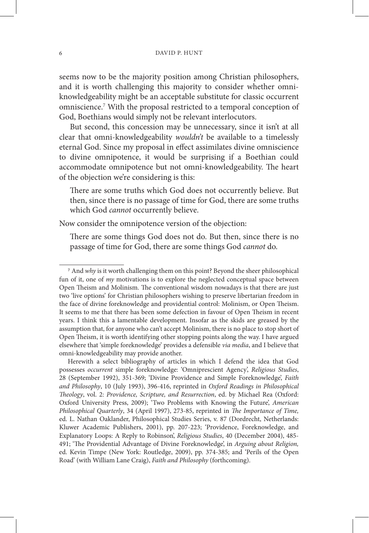seems now to be the majority position among Christian philosophers, and it is worth challenging this majority to consider whether omniknowledgeability might be an acceptable substitute for classic occurrent omniscience.7 With the proposal restricted to a temporal conception of God, Boethians would simply not be relevant interlocutors.

But second, this concession may be unnecessary, since it isn't at all clear that omni-knowledgeability *wouldn't* be available to a timelessly eternal God. Since my proposal in effect assimilates divine omniscience to divine omnipotence, it would be surprising if a Boethian could accommodate omnipotence but not omni-knowledgeability. The heart of the objection we're considering is this:

There are some truths which God does not occurrently believe. But then, since there is no passage of time for God, there are some truths which God *cannot* occurrently believe.

Now consider the omnipotence version of the objection:

There are some things God does not do. But then, since there is no passage of time for God, there are some things God *cannot* do.

Herewith a select bibliography of articles in which I defend the idea that God possesses *occurrent* simple foreknowledge: 'Omniprescient Agency', *Religious Studies*, 28 (September 1992), 351-369; 'Divine Providence and Simple Foreknowledge', *Faith and Philosophy*, 10 (July 1993), 396-416, reprinted in *Oxford Readings in Philosophical Theology*, vol. 2: *Providence, Scripture, and Resurrection*, ed. by Michael Rea (Oxford: Oxford University Press, 2009); 'Two Problems with Knowing the Future', *American Philosophical Quarterly*, 34 (April 1997), 273-85, reprinted in *The Importance of Time,* ed. L. Nathan Oaklander, Philosophical Studies Series, v. 87 (Dordrecht, Netherlands: Kluwer Academic Publishers, 2001), pp. 207-223; 'Providence, Foreknowledge, and Explanatory Loops: A Reply to Robinson', *Religious Studies*, 40 (December 2004), 485- 491; 'The Providential Advantage of Divine Foreknowledge', in *Arguing about Religion,*  ed. Kevin Timpe (New York: Routledge, 2009), pp. 374-385; and 'Perils of the Open Road' (with William Lane Craig), *Faith and Philosophy* (forthcoming).

<sup>7</sup> And *why* is it worth challenging them on this point? Beyond the sheer philosophical fun of it, one of *my* motivations is to explore the neglected conceptual space between Open Theism and Molinism. The conventional wisdom nowadays is that there are just two 'live options' for Christian philosophers wishing to preserve libertarian freedom in the face of divine foreknowledge and providential control: Molinism, or Open Theism. It seems to me that there has been some defection in favour of Open Theism in recent years. I think this a lamentable development. Insofar as the skids are greased by the assumption that, for anyone who can't accept Molinism, there is no place to stop short of Open Theism, it is worth identifying other stopping points along the way. I have argued elsewhere that 'simple foreknowledge' provides a defensible *via media*, and I believe that omni-knowledgeability may provide another.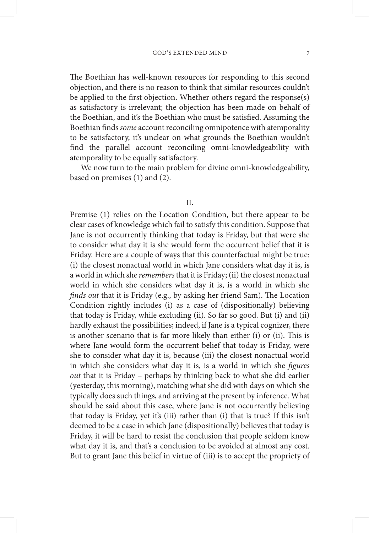The Boethian has well-known resources for responding to this second objection, and there is no reason to think that similar resources couldn't be applied to the first objection. Whether others regard the response(s) as satisfactory is irrelevant; the objection has been made on behalf of the Boethian, and it's the Boethian who must be satisfied. Assuming the Boethian finds *some* account reconciling omnipotence with atemporality to be satisfactory, it's unclear on what grounds the Boethian wouldn't find the parallel account reconciling omni-knowledgeability with atemporality to be equally satisfactory.

We now turn to the main problem for divine omni-knowledgeability, based on premises (1) and (2).

#### II.

Premise (1) relies on the Location Condition, but there appear to be clear cases of knowledge which fail to satisfy this condition. Suppose that Jane is not occurrently thinking that today is Friday, but that were she to consider what day it is she would form the occurrent belief that it is Friday. Here are a couple of ways that this counterfactual might be true: (i) the closest nonactual world in which Jane considers what day it is, is a world in which she *remembers* that it is Friday; (ii) the closest nonactual world in which she considers what day it is, is a world in which she *finds out* that it is Friday (e.g., by asking her friend Sam). The Location Condition rightly includes (i) as a case of (dispositionally) believing that today is Friday, while excluding (ii). So far so good. But (i) and (ii) hardly exhaust the possibilities; indeed, if Jane is a typical cognizer, there is another scenario that is far more likely than either (i) or (ii). This is where Jane would form the occurrent belief that today is Friday, were she to consider what day it is, because (iii) the closest nonactual world in which she considers what day it is, is a world in which she *figures out* that it is Friday – perhaps by thinking back to what she did earlier (yesterday, this morning), matching what she did with days on which she typically does such things, and arriving at the present by inference. What should be said about this case, where Jane is not occurrently believing that today is Friday, yet it's (iii) rather than (i) that is true? If this isn't deemed to be a case in which Jane (dispositionally) believes that today is Friday, it will be hard to resist the conclusion that people seldom know what day it is, and that's a conclusion to be avoided at almost any cost. But to grant Jane this belief in virtue of (iii) is to accept the propriety of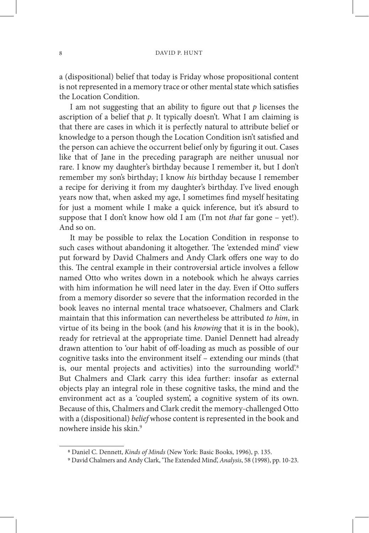a (dispositional) belief that today is Friday whose propositional content is not represented in a memory trace or other mental state which satisfies the Location Condition.

I am not suggesting that an ability to figure out that *p* licenses the ascription of a belief that *p*. It typically doesn't. What I am claiming is that there are cases in which it is perfectly natural to attribute belief or knowledge to a person though the Location Condition isn't satisfied and the person can achieve the occurrent belief only by figuring it out. Cases like that of Jane in the preceding paragraph are neither unusual nor rare. I know my daughter's birthday because I remember it, but I don't remember my son's birthday; I know *his* birthday because I remember a recipe for deriving it from my daughter's birthday. I've lived enough years now that, when asked my age, I sometimes find myself hesitating for just a moment while I make a quick inference, but it's absurd to suppose that I don't know how old I am (I'm not *that* far gone – yet!). And so on.

It may be possible to relax the Location Condition in response to such cases without abandoning it altogether. The 'extended mind' view put forward by David Chalmers and Andy Clark offers one way to do this. The central example in their controversial article involves a fellow named Otto who writes down in a notebook which he always carries with him information he will need later in the day. Even if Otto suffers from a memory disorder so severe that the information recorded in the book leaves no internal mental trace whatsoever, Chalmers and Clark maintain that this information can nevertheless be attributed *to him*, in virtue of its being in the book (and his *knowing* that it is in the book), ready for retrieval at the appropriate time. Daniel Dennett had already drawn attention to 'our habit of off-loading as much as possible of our cognitive tasks into the environment itself – extending our minds (that is, our mental projects and activities) into the surrounding world'.8 But Chalmers and Clark carry this idea further: insofar as external objects play an integral role in these cognitive tasks, the mind and the environment act as a 'coupled system', a cognitive system of its own. Because of this, Chalmers and Clark credit the memory-challenged Otto with a (dispositional) *belief* whose content is represented in the book and nowhere inside his skin.9

<sup>8</sup> Daniel C. Dennett, *Kinds of Minds* (New York: Basic Books, 1996), p. 135. 9 David Chalmers and Andy Clark, 'The Extended Mind', *Analysis*, 58 (1998), pp. 10-23.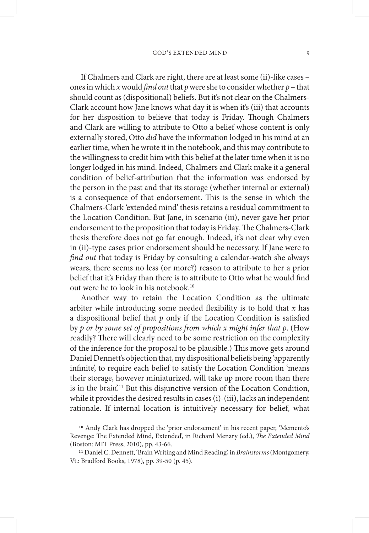If Chalmers and Clark are right, there are at least some (ii)-like cases – ones in which *x* would *find out* that *p* were she to consider whether *p* – that should count as (dispositional) beliefs. But it's not clear on the Chalmers-Clark account how Jane knows what day it is when it's (iii) that accounts for her disposition to believe that today is Friday. Though Chalmers and Clark are willing to attribute to Otto a belief whose content is only externally stored, Otto *did* have the information lodged in his mind at an earlier time, when he wrote it in the notebook, and this may contribute to the willingness to credit him with this belief at the later time when it is no longer lodged in his mind. Indeed, Chalmers and Clark make it a general condition of belief-attribution that the information was endorsed by the person in the past and that its storage (whether internal or external) is a consequence of that endorsement. This is the sense in which the Chalmers-Clark 'extended mind' thesis retains a residual commitment to the Location Condition. But Jane, in scenario (iii), never gave her prior endorsement to the proposition that today is Friday. The Chalmers-Clark thesis therefore does not go far enough. Indeed, it's not clear why even in (ii)-type cases prior endorsement should be necessary. If Jane were to *find out* that today is Friday by consulting a calendar-watch she always wears, there seems no less (or more?) reason to attribute to her a prior belief that it's Friday than there is to attribute to Otto what he would find out were he to look in his notebook.10

Another way to retain the Location Condition as the ultimate arbiter while introducing some needed flexibility is to hold that *x* has a dispositional belief that *p* only if the Location Condition is satisfied by *p or by some set of propositions from which x might infer that p*. (How readily? There will clearly need to be some restriction on the complexity of the inference for the proposal to be plausible.) This move gets around Daniel Dennett's objection that, my dispositional beliefs being 'apparently infinite', to require each belief to satisfy the Location Condition 'means their storage, however miniaturized, will take up more room than there is in the brain'.11 But this disjunctive version of the Location Condition, while it provides the desired results in cases (i)-(iii), lacks an independent rationale. If internal location is intuitively necessary for belief, what

<sup>10</sup> Andy Clark has dropped the 'prior endorsement' in his recent paper, 'Memento's Revenge: The Extended Mind, Extended', in Richard Menary (ed.), *The Extended Mind* (Boston: MIT Press, 2010), pp. 43-66. 11 Daniel C. Dennett, 'Brain Writing and Mind Reading', in *Brainstorms* (Montgomery,

Vt.: Bradford Books, 1978), pp. 39-50 (p. 45).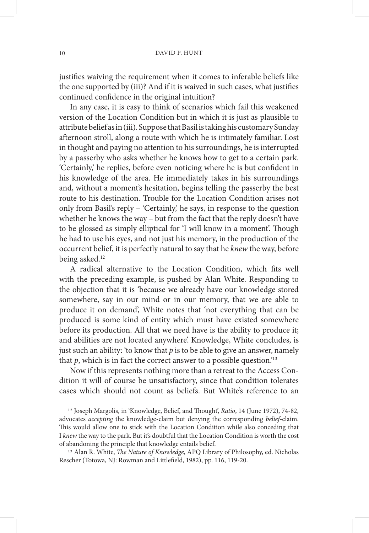justifies waiving the requirement when it comes to inferable beliefs like the one supported by (iii)? And if it is waived in such cases, what justifies continued confidence in the original intuition?

In any case, it is easy to think of scenarios which fail this weakened version of the Location Condition but in which it is just as plausible to attribute belief as in (iii). Suppose that Basil is taking his customary Sunday afternoon stroll, along a route with which he is intimately familiar. Lost in thought and paying no attention to his surroundings, he is interrupted by a passerby who asks whether he knows how to get to a certain park. 'Certainly,' he replies, before even noticing where he is but confident in his knowledge of the area. He immediately takes in his surroundings and, without a moment's hesitation, begins telling the passerby the best route to his destination. Trouble for the Location Condition arises not only from Basil's reply – 'Certainly,' he says, in response to the question whether he knows the way – but from the fact that the reply doesn't have to be glossed as simply elliptical for 'I will know in a moment'. Though he had to use his eyes, and not just his memory, in the production of the occurrent belief, it is perfectly natural to say that he *knew* the way, before being asked.<sup>12</sup>

A radical alternative to the Location Condition, which fits well with the preceding example, is pushed by Alan White. Responding to the objection that it is 'because we already have our knowledge stored somewhere, say in our mind or in our memory, that we are able to produce it on demand', White notes that 'not everything that can be produced is some kind of entity which must have existed somewhere before its production. All that we need have is the ability to produce it; and abilities are not located anywhere'. Knowledge, White concludes, is just such an ability: 'to know that  $p$  is to be able to give an answer, namely that  $p$ , which is in fact the correct answer to a possible question.<sup>'13</sup>

Now if this represents nothing more than a retreat to the Access Condition it will of course be unsatisfactory, since that condition tolerates cases which should not count as beliefs. But White's reference to an

<sup>12</sup> Joseph Margolis, in 'Knowledge, Belief, and Thought', *Ratio*, 14 (June 1972), 74-82, advocates *accepting* the knowledge-claim but denying the corresponding *belief*-claim. This would allow one to stick with the Location Condition while also conceding that I knew the way to the park. But it's doubtful that the Location Condition is worth the cost of abandoning the principle that knowledge entails belief. 13 Alan R. White, *The Nature of Knowledge*, APQ Library of Philosophy, ed. Nicholas

Rescher (Totowa, NJ: Rowman and Littlefield, 1982), pp. 116, 119-20.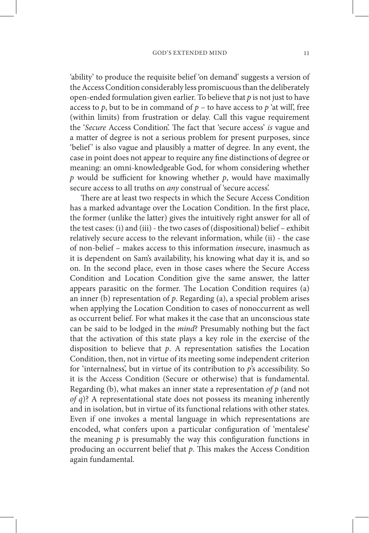'ability' to produce the requisite belief 'on demand' suggests a version of the Access Condition considerably less promiscuous than the deliberately open-ended formulation given earlier. To believe that *p* is not just to have access to *p*, but to be in command of  $p -$  to have access to  $p$  'at will', free (within limits) from frustration or delay. Call this vague requirement the '*Secure* Access Condition'. The fact that 'secure access' *is* vague and a matter of degree is not a serious problem for present purposes, since 'belief' is also vague and plausibly a matter of degree. In any event, the case in point does not appear to require any fine distinctions of degree or meaning: an omni-knowledgeable God, for whom considering whether  $p$  would be sufficient for knowing whether  $p$ , would have maximally secure access to all truths on *any* construal of 'secure access'.

There are at least two respects in which the Secure Access Condition has a marked advantage over the Location Condition. In the first place, the former (unlike the latter) gives the intuitively right answer for all of the test cases: (i) and (iii) - the two cases of (dispositional) belief – exhibit relatively secure access to the relevant information, while (ii) - the case of non-belief – makes access to this information *in*secure, inasmuch as it is dependent on Sam's availability, his knowing what day it is, and so on. In the second place, even in those cases where the Secure Access Condition and Location Condition give the same answer, the latter appears parasitic on the former. The Location Condition requires (a) an inner (b) representation of *p*. Regarding (a), a special problem arises when applying the Location Condition to cases of nonoccurrent as well as occurrent belief. For what makes it the case that an unconscious state can be said to be lodged in the *mind*? Presumably nothing but the fact that the activation of this state plays a key role in the exercise of the disposition to believe that *p*. A representation satisfies the Location Condition, then, not in virtue of its meeting some independent criterion for 'internalness', but in virtue of its contribution to *p*'s accessibility. So it is the Access Condition (Secure or otherwise) that is fundamental. Regarding (b), what makes an inner state a representation *of p* (and not *of q*)? A representational state does not possess its meaning inherently and in isolation, but in virtue of its functional relations with other states. Even if one invokes a mental language in which representations are encoded, what confers upon a particular configuration of 'mentalese' the meaning  $p$  is presumably the way this configuration functions in producing an occurrent belief that *p*. This makes the Access Condition again fundamental.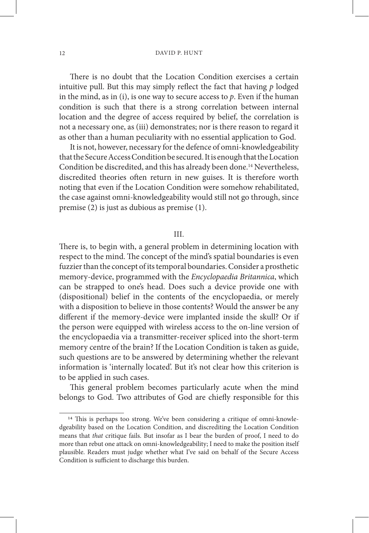There is no doubt that the Location Condition exercises a certain intuitive pull. But this may simply reflect the fact that having *p* lodged in the mind, as in (i), is one way to secure access to *p*. Even if the human condition is such that there is a strong correlation between internal location and the degree of access required by belief, the correlation is not a necessary one, as (iii) demonstrates; nor is there reason to regard it as other than a human peculiarity with no essential application to God.

It is not, however, necessary for the defence of omni-knowledgeability that the Secure Access Condition be secured. It is enough that the Location Condition be discredited, and this has already been done.<sup>14</sup> Nevertheless, discredited theories often return in new guises. It is therefore worth noting that even if the Location Condition were somehow rehabilitated, the case against omni-knowledgeability would still not go through, since premise (2) is just as dubious as premise (1).

#### III.

There is, to begin with, a general problem in determining location with respect to the mind. The concept of the mind's spatial boundaries is even fuzzier than the concept of its temporal boundaries. Consider a prosthetic memory-device, programmed with the *Encyclopaedia Britannica*, which can be strapped to one's head. Does such a device provide one with (dispositional) belief in the contents of the encyclopaedia, or merely with a disposition to believe in those contents? Would the answer be any different if the memory-device were implanted inside the skull? Or if the person were equipped with wireless access to the on-line version of the encyclopaedia via a transmitter-receiver spliced into the short-term memory centre of the brain? If the Location Condition is taken as guide, such questions are to be answered by determining whether the relevant information is 'internally located'. But it's not clear how this criterion is to be applied in such cases.

This general problem becomes particularly acute when the mind belongs to God. Two attributes of God are chiefly responsible for this

<sup>&</sup>lt;sup>14</sup> This is perhaps too strong. We've been considering a critique of omni-knowledgeability based on the Location Condition, and discrediting the Location Condition means that *that* critique fails. But insofar as I bear the burden of proof, I need to do more than rebut one attack on omni-knowledgeability; I need to make the position itself plausible. Readers must judge whether what I've said on behalf of the Secure Access Condition is sufficient to discharge this burden.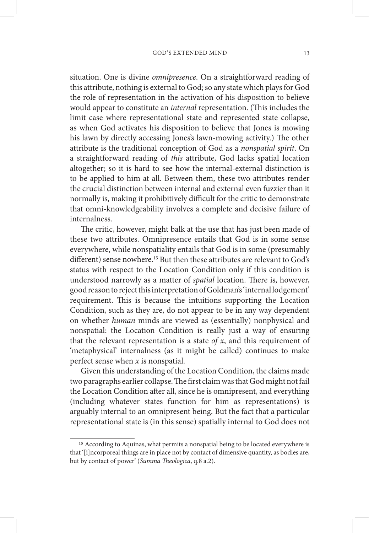situation. One is divine *omnipresence*. On a straightforward reading of this attribute, nothing is external to God; so any state which plays for God the role of representation in the activation of his disposition to believe would appear to constitute an *internal* representation. (This includes the limit case where representational state and represented state collapse, as when God activates his disposition to believe that Jones is mowing his lawn by directly accessing Jones's lawn-mowing activity.) The other attribute is the traditional conception of God as a *nonspatial spirit*. On a straightforward reading of *this* attribute, God lacks spatial location altogether; so it is hard to see how the internal-external distinction is to be applied to him at all. Between them, these two attributes render the crucial distinction between internal and external even fuzzier than it normally is, making it prohibitively difficult for the critic to demonstrate that omni-knowledgeability involves a complete and decisive failure of internalness.

The critic, however, might balk at the use that has just been made of these two attributes. Omnipresence entails that God is in some sense everywhere, while nonspatiality entails that God is in some (presumably different) sense nowhere.<sup>15</sup> But then these attributes are relevant to God's status with respect to the Location Condition only if this condition is understood narrowly as a matter of *spatial* location. There is, however, good reason to reject this interpretation of Goldman's 'internal lodgement' requirement. This is because the intuitions supporting the Location Condition, such as they are, do not appear to be in any way dependent on whether *human* minds are viewed as (essentially) nonphysical and nonspatial: the Location Condition is really just a way of ensuring that the relevant representation is a state *of x*, and this requirement of 'metaphysical' internalness (as it might be called) continues to make perfect sense when *x* is nonspatial.

Given this understanding of the Location Condition, the claims made two paragraphs earlier collapse. The first claim was that God might not fail the Location Condition after all, since he is omnipresent, and everything (including whatever states function for him as representations) is arguably internal to an omnipresent being. But the fact that a particular representational state is (in this sense) spatially internal to God does not

<sup>&</sup>lt;sup>15</sup> According to Aquinas, what permits a nonspatial being to be located everywhere is that '[i]ncorporeal things are in place not by contact of dimensive quantity, as bodies are, but by contact of power' (*Summa Theologica*, q.8 a.2).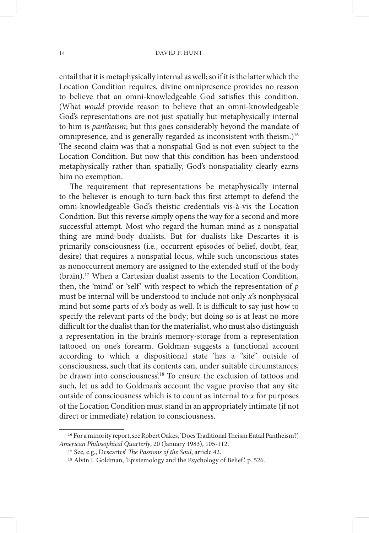entail that it is metaphysically internal as well; so if it is the latter which the Location Condition requires, divine omnipresence provides no reason to believe that an omni-knowledgeable God satisfies this condition. (What *would* provide reason to believe that an omni-knowledgeable God's representations are not just spatially but metaphysically internal to him is *pantheism*; but this goes considerably beyond the mandate of omnipresence, and is generally regarded as inconsistent with theism.)<sup>16</sup> The second claim was that a nonspatial God is not even subject to the Location Condition. But now that this condition has been understood metaphysically rather than spatially, God's nonspatiality clearly earns him no exemption.

The requirement that representations be metaphysically internal to the believer is enough to turn back this first attempt to defend the omni-knowledgeable God's theistic credentials vis-à-vis the Location Condition. But this reverse simply opens the way for a second and more successful attempt. Most who regard the human mind as a nonspatial thing are mind-body dualists. But for dualists like Descartes it is primarily consciousness (i.e., occurrent episodes of belief, doubt, fear, desire) that requires a nonspatial locus, while such unconscious states as nonoccurrent memory are assigned to the extended stuff of the body (brain).17 When a Cartesian dualist assents to the Location Condition, then, the 'mind' or 'self' with respect to which the representation of  $p$ must be internal will be understood to include not only *x*'s nonphysical mind but some parts of *x*'s body as well. It is difficult to say just how to specify the relevant parts of the body; but doing so is at least no more difficult for the dualist than for the materialist, who must also distinguish a representation in the brain's memory-storage from a representation tattooed on one's forearm. Goldman suggests a functional account according to which a dispositional state 'has a "site" outside of consciousness, such that its contents can, under suitable circumstances, be drawn into consciousness'.18 To ensure the exclusion of tattoos and such, let us add to Goldman's account the vague proviso that any site outside of consciousness which is to count as internal to *x* for purposes of the Location Condition must stand in an appropriately intimate (if not direct or immediate) relation to consciousness.

<sup>&</sup>lt;sup>16</sup> For a minority report, see Robert Oakes, 'Does Traditional Theism Entail Pantheism?', American Philosophical Quarterly, 20 (January 1983), 105-112.

<sup>&</sup>lt;sup>17</sup> See, e.g., Descartes' *The Passions of the Soul*, article 42.<br><sup>18</sup> Alvin I. Goldman, 'Epistemology and the Psychology of Belief', p. 526.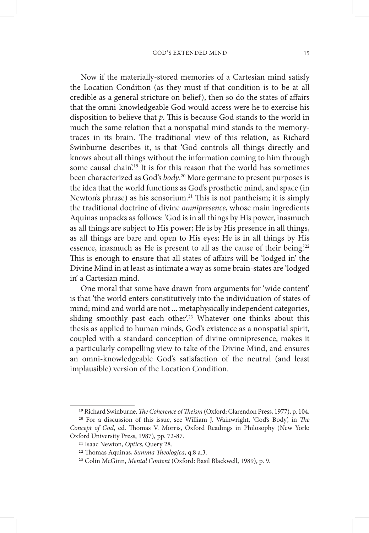Now if the materially-stored memories of a Cartesian mind satisfy the Location Condition (as they must if that condition is to be at all credible as a general stricture on belief), then so do the states of affairs that the omni-knowledgeable God would access were he to exercise his disposition to believe that *p*. This is because God stands to the world in much the same relation that a nonspatial mind stands to the memorytraces in its brain. The traditional view of this relation, as Richard Swinburne describes it, is that 'God controls all things directly and knows about all things without the information coming to him through some causal chain<sup>'19</sup> It is for this reason that the world has sometimes been characterized as God's *body*. <sup>20</sup> More germane to present purposes is the idea that the world functions as God's prosthetic mind, and space (in Newton's phrase) as his sensorium.<sup>21</sup> This is not pantheism; it is simply the traditional doctrine of divine *omnipresence*, whose main ingredients Aquinas unpacks as follows: 'God is in all things by His power, inasmuch as all things are subject to His power; He is by His presence in all things, as all things are bare and open to His eyes; He is in all things by His essence, inasmuch as He is present to all as the cause of their being.<sup>222</sup> This is enough to ensure that all states of affairs will be 'lodged in' the Divine Mind in at least as intimate a way as some brain-states are 'lodged in' a Cartesian mind.

One moral that some have drawn from arguments for 'wide content' is that 'the world enters constitutively into the individuation of states of mind; mind and world are not ... metaphysically independent categories, sliding smoothly past each other'.<sup>23</sup> Whatever one thinks about this thesis as applied to human minds, God's existence as a nonspatial spirit, coupled with a standard conception of divine omnipresence, makes it a particularly compelling view to take of the Divine Mind, and ensures an omni-knowledgeable God's satisfaction of the neutral (and least implausible) version of the Location Condition.

<sup>19</sup> Richard Swinburne, *The Coherence of Theism* (Oxford: Clarendon Press, 1977), p. 104. 20 For a discussion of this issue, see William J. Wainwright, 'God's Body', in *The Concept of God*, ed. Thomas V. Morris, Oxford Readings in Philosophy (New York: Oxford University Press, 1987), pp. 72-87. 21 Isaac Newton, *Optics*, Query 28. 22 Thomas Aquinas, *Summa Theologica*, q.8 a.3. 23 Colin McGinn, *Mental Content* (Oxford: Basil Blackwell, 1989), p. 9.